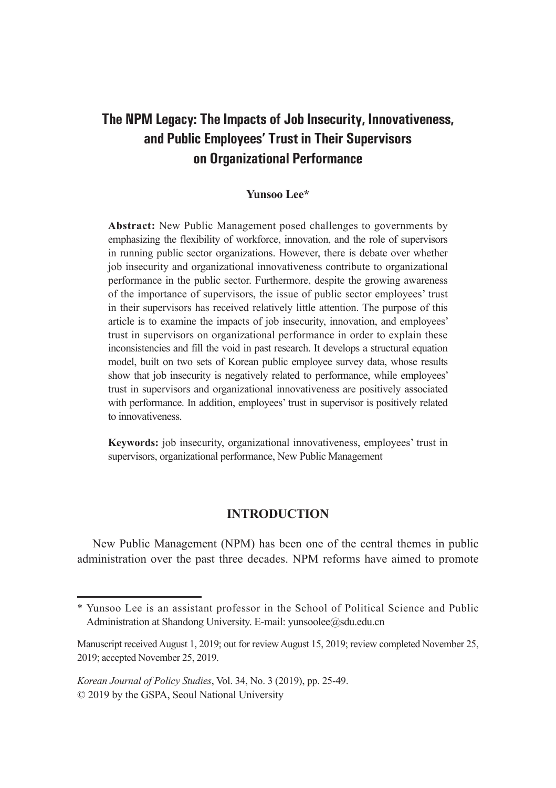# **The NPM Legacy: The Impacts of Job Insecurity, Innovativeness, and Public Employees' Trust in Their Supervisors on Organizational Performance**

# **Yunsoo Lee\***

**Abstract:** New Public Management posed challenges to governments by emphasizing the flexibility of workforce, innovation, and the role of supervisors in running public sector organizations. However, there is debate over whether job insecurity and organizational innovativeness contribute to organizational performance in the public sector. Furthermore, despite the growing awareness of the importance of supervisors, the issue of public sector employees' trust in their supervisors has received relatively little attention. The purpose of this article is to examine the impacts of job insecurity, innovation, and employees' trust in supervisors on organizational performance in order to explain these inconsistencies and fill the void in past research. It develops a structural equation model, built on two sets of Korean public employee survey data, whose results show that job insecurity is negatively related to performance, while employees' trust in supervisors and organizational innovativeness are positively associated with performance. In addition, employees' trust in supervisor is positively related to innovativeness.

**Keywords:** job insecurity, organizational innovativeness, employees' trust in supervisors, organizational performance, New Public Management

# **INTRODUCTION**

New Public Management (NPM) has been one of the central themes in public administration over the past three decades. NPM reforms have aimed to promote

<sup>\*</sup> Yunsoo Lee is an assistant professor in the School of Political Science and Public Administration at Shandong University. E-mail: yunsoolee@sdu.edu.cn

Manuscript received August 1, 2019; out for review August 15, 2019; review completed November 25, 2019; accepted November 25, 2019.

*Korean Journal of Policy Studies*, Vol. 34, No. 3 (2019), pp. 25-49. © 2019 by the GSPA, Seoul National University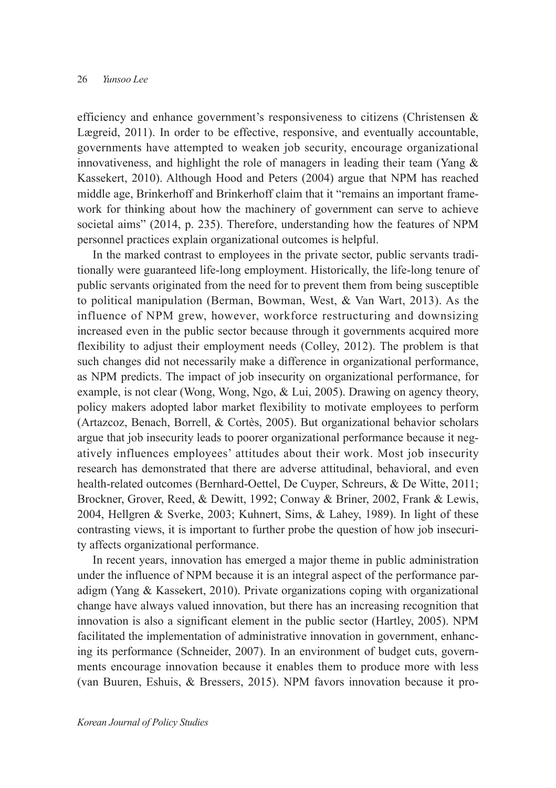efficiency and enhance government's responsiveness to citizens (Christensen & Lægreid, 2011). In order to be effective, responsive, and eventually accountable, governments have attempted to weaken job security, encourage organizational innovativeness, and highlight the role of managers in leading their team (Yang & Kassekert, 2010). Although Hood and Peters (2004) argue that NPM has reached middle age, Brinkerhoff and Brinkerhoff claim that it "remains an important framework for thinking about how the machinery of government can serve to achieve societal aims" (2014, p. 235). Therefore, understanding how the features of NPM personnel practices explain organizational outcomes is helpful.

In the marked contrast to employees in the private sector, public servants traditionally were guaranteed life-long employment. Historically, the life-long tenure of public servants originated from the need for to prevent them from being susceptible to political manipulation (Berman, Bowman, West, & Van Wart, 2013). As the influence of NPM grew, however, workforce restructuring and downsizing increased even in the public sector because through it governments acquired more flexibility to adjust their employment needs (Colley, 2012). The problem is that such changes did not necessarily make a difference in organizational performance, as NPM predicts. The impact of job insecurity on organizational performance, for example, is not clear (Wong, Wong, Ngo, & Lui, 2005). Drawing on agency theory, policy makers adopted labor market flexibility to motivate employees to perform (Artazcoz, Benach, Borrell, & Cortès, 2005). But organizational behavior scholars argue that job insecurity leads to poorer organizational performance because it negatively influences employees' attitudes about their work. Most job insecurity research has demonstrated that there are adverse attitudinal, behavioral, and even health-related outcomes (Bernhard-Oettel, De Cuyper, Schreurs, & De Witte, 2011; Brockner, Grover, Reed, & Dewitt, 1992; Conway & Briner, 2002, Frank & Lewis, 2004, Hellgren & Sverke, 2003; Kuhnert, Sims, & Lahey, 1989). In light of these contrasting views, it is important to further probe the question of how job insecurity affects organizational performance.

In recent years, innovation has emerged a major theme in public administration under the influence of NPM because it is an integral aspect of the performance paradigm (Yang & Kassekert, 2010). Private organizations coping with organizational change have always valued innovation, but there has an increasing recognition that innovation is also a significant element in the public sector (Hartley, 2005). NPM facilitated the implementation of administrative innovation in government, enhancing its performance (Schneider, 2007). In an environment of budget cuts, governments encourage innovation because it enables them to produce more with less (van Buuren, Eshuis, & Bressers, 2015). NPM favors innovation because it pro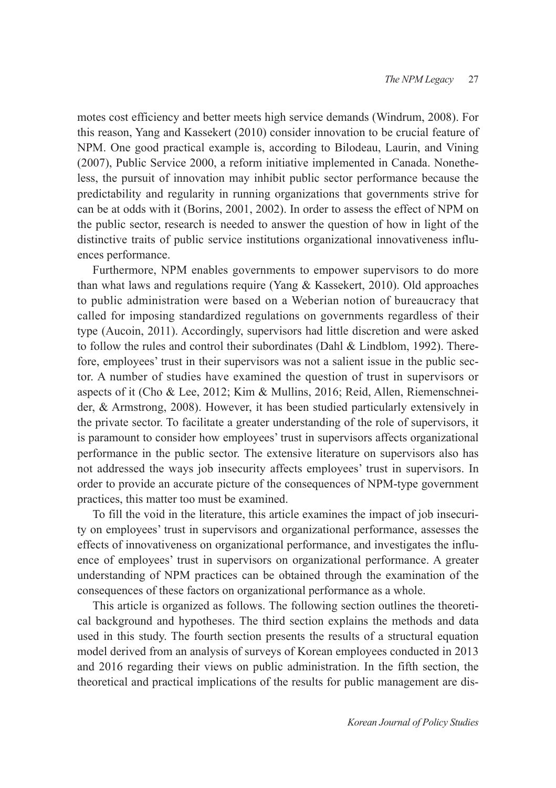motes cost efficiency and better meets high service demands (Windrum, 2008). For this reason, Yang and Kassekert (2010) consider innovation to be crucial feature of NPM. One good practical example is, according to Bilodeau, Laurin, and Vining (2007), Public Service 2000, a reform initiative implemented in Canada. Nonetheless, the pursuit of innovation may inhibit public sector performance because the predictability and regularity in running organizations that governments strive for can be at odds with it (Borins, 2001, 2002). In order to assess the effect of NPM on the public sector, research is needed to answer the question of how in light of the distinctive traits of public service institutions organizational innovativeness influences performance.

Furthermore, NPM enables governments to empower supervisors to do more than what laws and regulations require (Yang & Kassekert, 2010). Old approaches to public administration were based on a Weberian notion of bureaucracy that called for imposing standardized regulations on governments regardless of their type (Aucoin, 2011). Accordingly, supervisors had little discretion and were asked to follow the rules and control their subordinates (Dahl & Lindblom, 1992). Therefore, employees' trust in their supervisors was not a salient issue in the public sector. A number of studies have examined the question of trust in supervisors or aspects of it (Cho & Lee, 2012; Kim & Mullins, 2016; Reid, Allen, Riemenschneider, & Armstrong, 2008). However, it has been studied particularly extensively in the private sector. To facilitate a greater understanding of the role of supervisors, it is paramount to consider how employees' trust in supervisors affects organizational performance in the public sector. The extensive literature on supervisors also has not addressed the ways job insecurity affects employees' trust in supervisors. In order to provide an accurate picture of the consequences of NPM-type government practices, this matter too must be examined.

To fill the void in the literature, this article examines the impact of job insecurity on employees' trust in supervisors and organizational performance, assesses the effects of innovativeness on organizational performance, and investigates the influence of employees' trust in supervisors on organizational performance. A greater understanding of NPM practices can be obtained through the examination of the consequences of these factors on organizational performance as a whole.

This article is organized as follows. The following section outlines the theoretical background and hypotheses. The third section explains the methods and data used in this study. The fourth section presents the results of a structural equation model derived from an analysis of surveys of Korean employees conducted in 2013 and 2016 regarding their views on public administration. In the fifth section, the theoretical and practical implications of the results for public management are dis-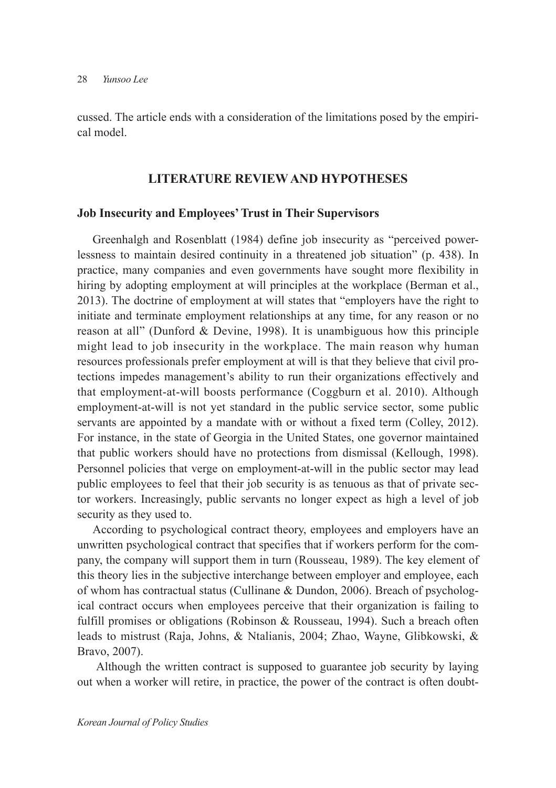cussed. The article ends with a consideration of the limitations posed by the empirical model.

# **LITERATURE REVIEW AND HYPOTHESES**

#### **Job Insecurity and Employees' Trust in Their Supervisors**

Greenhalgh and Rosenblatt (1984) define job insecurity as "perceived powerlessness to maintain desired continuity in a threatened job situation" (p. 438). In practice, many companies and even governments have sought more flexibility in hiring by adopting employment at will principles at the workplace (Berman et al., 2013). The doctrine of employment at will states that "employers have the right to initiate and terminate employment relationships at any time, for any reason or no reason at all" (Dunford & Devine, 1998). It is unambiguous how this principle might lead to job insecurity in the workplace. The main reason why human resources professionals prefer employment at will is that they believe that civil protections impedes management's ability to run their organizations effectively and that employment-at-will boosts performance (Coggburn et al. 2010). Although employment-at-will is not yet standard in the public service sector, some public servants are appointed by a mandate with or without a fixed term (Colley, 2012). For instance, in the state of Georgia in the United States, one governor maintained that public workers should have no protections from dismissal (Kellough, 1998). Personnel policies that verge on employment-at-will in the public sector may lead public employees to feel that their job security is as tenuous as that of private sector workers. Increasingly, public servants no longer expect as high a level of job security as they used to.

According to psychological contract theory, employees and employers have an unwritten psychological contract that specifies that if workers perform for the company, the company will support them in turn (Rousseau, 1989). The key element of this theory lies in the subjective interchange between employer and employee, each of whom has contractual status (Cullinane & Dundon, 2006). Breach of psychological contract occurs when employees perceive that their organization is failing to fulfill promises or obligations (Robinson & Rousseau, 1994). Such a breach often leads to mistrust (Raja, Johns, & Ntalianis, 2004; Zhao, Wayne, Glibkowski, & Bravo, 2007).

 Although the written contract is supposed to guarantee job security by laying out when a worker will retire, in practice, the power of the contract is often doubt-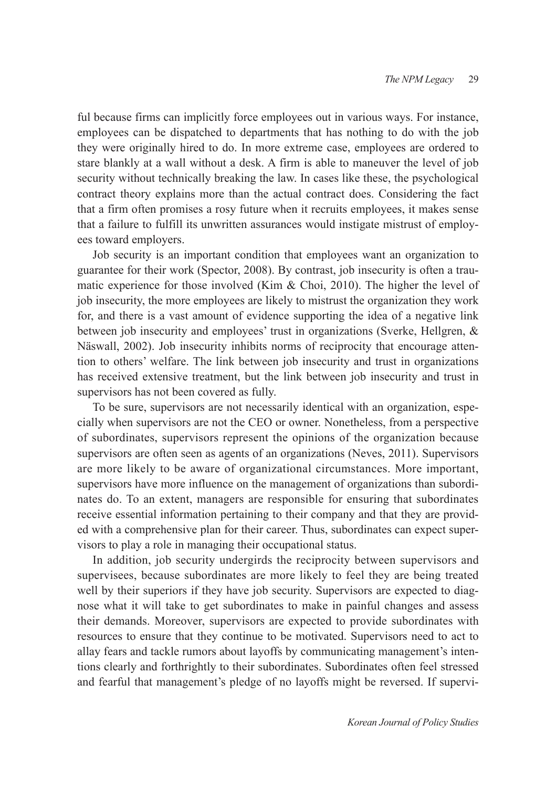ful because firms can implicitly force employees out in various ways. For instance, employees can be dispatched to departments that has nothing to do with the job they were originally hired to do. In more extreme case, employees are ordered to stare blankly at a wall without a desk. A firm is able to maneuver the level of job security without technically breaking the law. In cases like these, the psychological contract theory explains more than the actual contract does. Considering the fact that a firm often promises a rosy future when it recruits employees, it makes sense that a failure to fulfill its unwritten assurances would instigate mistrust of employees toward employers.

Job security is an important condition that employees want an organization to guarantee for their work (Spector, 2008). By contrast, job insecurity is often a traumatic experience for those involved (Kim & Choi, 2010). The higher the level of job insecurity, the more employees are likely to mistrust the organization they work for, and there is a vast amount of evidence supporting the idea of a negative link between job insecurity and employees' trust in organizations (Sverke, Hellgren, & Näswall, 2002). Job insecurity inhibits norms of reciprocity that encourage attention to others' welfare. The link between job insecurity and trust in organizations has received extensive treatment, but the link between job insecurity and trust in supervisors has not been covered as fully.

To be sure, supervisors are not necessarily identical with an organization, especially when supervisors are not the CEO or owner. Nonetheless, from a perspective of subordinates, supervisors represent the opinions of the organization because supervisors are often seen as agents of an organizations (Neves, 2011). Supervisors are more likely to be aware of organizational circumstances. More important, supervisors have more influence on the management of organizations than subordinates do. To an extent, managers are responsible for ensuring that subordinates receive essential information pertaining to their company and that they are provided with a comprehensive plan for their career. Thus, subordinates can expect supervisors to play a role in managing their occupational status.

In addition, job security undergirds the reciprocity between supervisors and supervisees, because subordinates are more likely to feel they are being treated well by their superiors if they have job security. Supervisors are expected to diagnose what it will take to get subordinates to make in painful changes and assess their demands. Moreover, supervisors are expected to provide subordinates with resources to ensure that they continue to be motivated. Supervisors need to act to allay fears and tackle rumors about layoffs by communicating management's intentions clearly and forthrightly to their subordinates. Subordinates often feel stressed and fearful that management's pledge of no layoffs might be reversed. If supervi-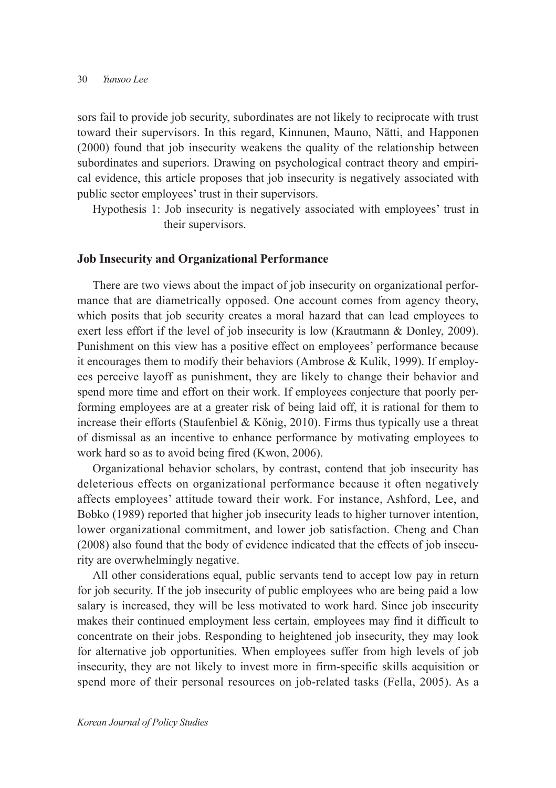sors fail to provide job security, subordinates are not likely to reciprocate with trust toward their supervisors. In this regard, Kinnunen, Mauno, Nätti, and Happonen (2000) found that job insecurity weakens the quality of the relationship between subordinates and superiors. Drawing on psychological contract theory and empirical evidence, this article proposes that job insecurity is negatively associated with public sector employees' trust in their supervisors.

Hypothesis 1: Job insecurity is negatively associated with employees' trust in their supervisors.

#### **Job Insecurity and Organizational Performance**

There are two views about the impact of job insecurity on organizational performance that are diametrically opposed. One account comes from agency theory, which posits that job security creates a moral hazard that can lead employees to exert less effort if the level of job insecurity is low (Krautmann & Donley, 2009). Punishment on this view has a positive effect on employees' performance because it encourages them to modify their behaviors (Ambrose & Kulik, 1999). If employees perceive layoff as punishment, they are likely to change their behavior and spend more time and effort on their work. If employees conjecture that poorly performing employees are at a greater risk of being laid off, it is rational for them to increase their efforts (Staufenbiel & König, 2010). Firms thus typically use a threat of dismissal as an incentive to enhance performance by motivating employees to work hard so as to avoid being fired (Kwon, 2006).

Organizational behavior scholars, by contrast, contend that job insecurity has deleterious effects on organizational performance because it often negatively affects employees' attitude toward their work. For instance, Ashford, Lee, and Bobko (1989) reported that higher job insecurity leads to higher turnover intention, lower organizational commitment, and lower job satisfaction. Cheng and Chan (2008) also found that the body of evidence indicated that the effects of job insecurity are overwhelmingly negative.

All other considerations equal, public servants tend to accept low pay in return for job security. If the job insecurity of public employees who are being paid a low salary is increased, they will be less motivated to work hard. Since job insecurity makes their continued employment less certain, employees may find it difficult to concentrate on their jobs. Responding to heightened job insecurity, they may look for alternative job opportunities. When employees suffer from high levels of job insecurity, they are not likely to invest more in firm-specific skills acquisition or spend more of their personal resources on job-related tasks (Fella, 2005). As a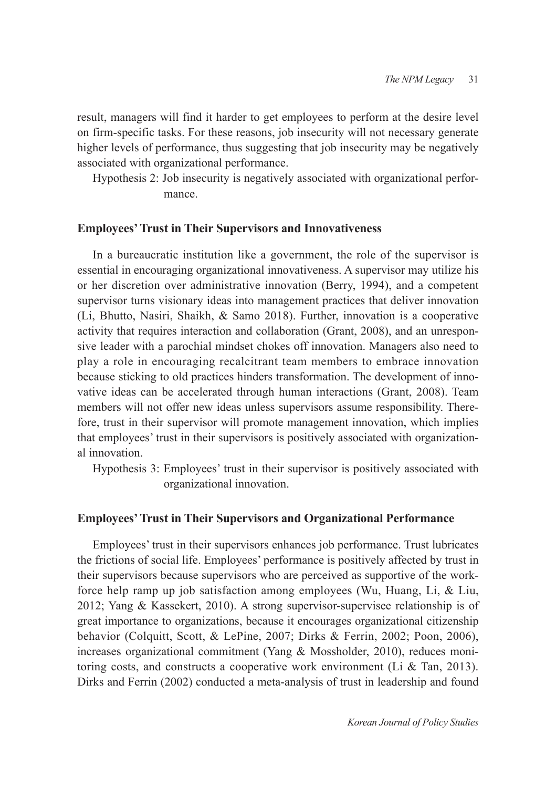result, managers will find it harder to get employees to perform at the desire level on firm-specific tasks. For these reasons, job insecurity will not necessary generate higher levels of performance, thus suggesting that job insecurity may be negatively associated with organizational performance.

Hypothesis 2: Job insecurity is negatively associated with organizational performance.

#### **Employees' Trust in Their Supervisors and Innovativeness**

In a bureaucratic institution like a government, the role of the supervisor is essential in encouraging organizational innovativeness. A supervisor may utilize his or her discretion over administrative innovation (Berry, 1994), and a competent supervisor turns visionary ideas into management practices that deliver innovation (Li, Bhutto, Nasiri, Shaikh, & Samo 2018). Further, innovation is a cooperative activity that requires interaction and collaboration (Grant, 2008), and an unresponsive leader with a parochial mindset chokes off innovation. Managers also need to play a role in encouraging recalcitrant team members to embrace innovation because sticking to old practices hinders transformation. The development of innovative ideas can be accelerated through human interactions (Grant, 2008). Team members will not offer new ideas unless supervisors assume responsibility. Therefore, trust in their supervisor will promote management innovation, which implies that employees' trust in their supervisors is positively associated with organizational innovation.

Hypothesis 3: Employees' trust in their supervisor is positively associated with organizational innovation.

#### **Employees' Trust in Their Supervisors and Organizational Performance**

Employees' trust in their supervisors enhances job performance. Trust lubricates the frictions of social life. Employees' performance is positively affected by trust in their supervisors because supervisors who are perceived as supportive of the workforce help ramp up job satisfaction among employees (Wu, Huang, Li, & Liu, 2012; Yang & Kassekert, 2010). A strong supervisor-supervisee relationship is of great importance to organizations, because it encourages organizational citizenship behavior (Colquitt, Scott, & LePine, 2007; Dirks & Ferrin, 2002; Poon, 2006), increases organizational commitment (Yang & Mossholder, 2010), reduces monitoring costs, and constructs a cooperative work environment (Li & Tan, 2013). Dirks and Ferrin (2002) conducted a meta-analysis of trust in leadership and found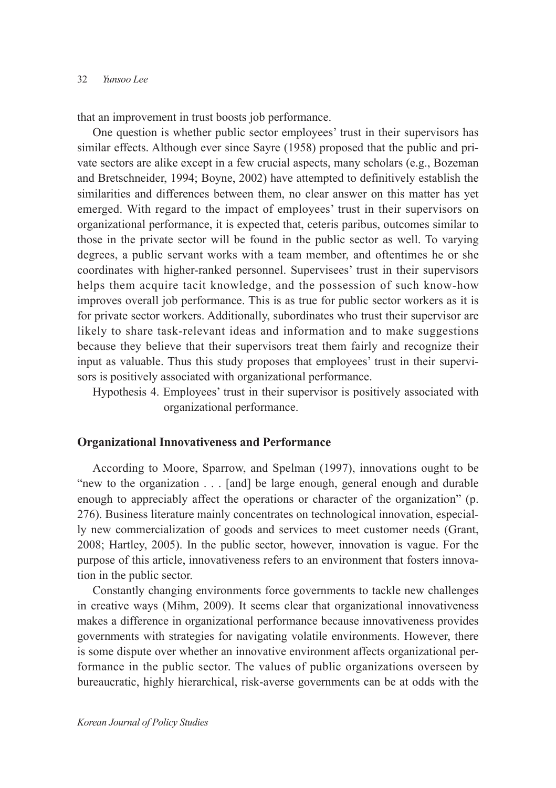that an improvement in trust boosts job performance.

One question is whether public sector employees' trust in their supervisors has similar effects. Although ever since Sayre (1958) proposed that the public and private sectors are alike except in a few crucial aspects, many scholars (e.g., Bozeman and Bretschneider, 1994; Boyne, 2002) have attempted to definitively establish the similarities and differences between them, no clear answer on this matter has yet emerged. With regard to the impact of employees' trust in their supervisors on organizational performance, it is expected that, ceteris paribus, outcomes similar to those in the private sector will be found in the public sector as well. To varying degrees, a public servant works with a team member, and oftentimes he or she coordinates with higher-ranked personnel. Supervisees' trust in their supervisors helps them acquire tacit knowledge, and the possession of such know-how improves overall job performance. This is as true for public sector workers as it is for private sector workers. Additionally, subordinates who trust their supervisor are likely to share task-relevant ideas and information and to make suggestions because they believe that their supervisors treat them fairly and recognize their input as valuable. Thus this study proposes that employees' trust in their supervisors is positively associated with organizational performance.

Hypothesis 4. Employees' trust in their supervisor is positively associated with organizational performance.

### **Organizational Innovativeness and Performance**

According to Moore, Sparrow, and Spelman (1997), innovations ought to be "new to the organization . . . [and] be large enough, general enough and durable enough to appreciably affect the operations or character of the organization" (p. 276). Business literature mainly concentrates on technological innovation, especially new commercialization of goods and services to meet customer needs (Grant, 2008; Hartley, 2005). In the public sector, however, innovation is vague. For the purpose of this article, innovativeness refers to an environment that fosters innovation in the public sector.

Constantly changing environments force governments to tackle new challenges in creative ways (Mihm, 2009). It seems clear that organizational innovativeness makes a difference in organizational performance because innovativeness provides governments with strategies for navigating volatile environments. However, there is some dispute over whether an innovative environment affects organizational performance in the public sector. The values of public organizations overseen by bureaucratic, highly hierarchical, risk-averse governments can be at odds with the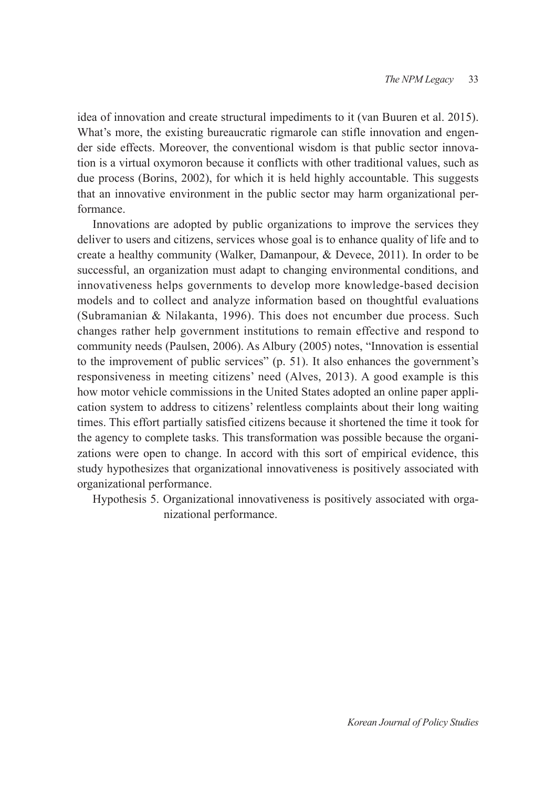idea of innovation and create structural impediments to it (van Buuren et al. 2015). What's more, the existing bureaucratic rigmarole can stifle innovation and engender side effects. Moreover, the conventional wisdom is that public sector innovation is a virtual oxymoron because it conflicts with other traditional values, such as due process (Borins, 2002), for which it is held highly accountable. This suggests that an innovative environment in the public sector may harm organizational performance.

Innovations are adopted by public organizations to improve the services they deliver to users and citizens, services whose goal is to enhance quality of life and to create a healthy community (Walker, Damanpour, & Devece, 2011). In order to be successful, an organization must adapt to changing environmental conditions, and innovativeness helps governments to develop more knowledge-based decision models and to collect and analyze information based on thoughtful evaluations (Subramanian & Nilakanta, 1996). This does not encumber due process. Such changes rather help government institutions to remain effective and respond to community needs (Paulsen, 2006). As Albury (2005) notes, "Innovation is essential to the improvement of public services" (p. 51). It also enhances the government's responsiveness in meeting citizens' need (Alves, 2013). A good example is this how motor vehicle commissions in the United States adopted an online paper application system to address to citizens' relentless complaints about their long waiting times. This effort partially satisfied citizens because it shortened the time it took for the agency to complete tasks. This transformation was possible because the organizations were open to change. In accord with this sort of empirical evidence, this study hypothesizes that organizational innovativeness is positively associated with organizational performance.

Hypothesis 5. Organizational innovativeness is positively associated with organizational performance.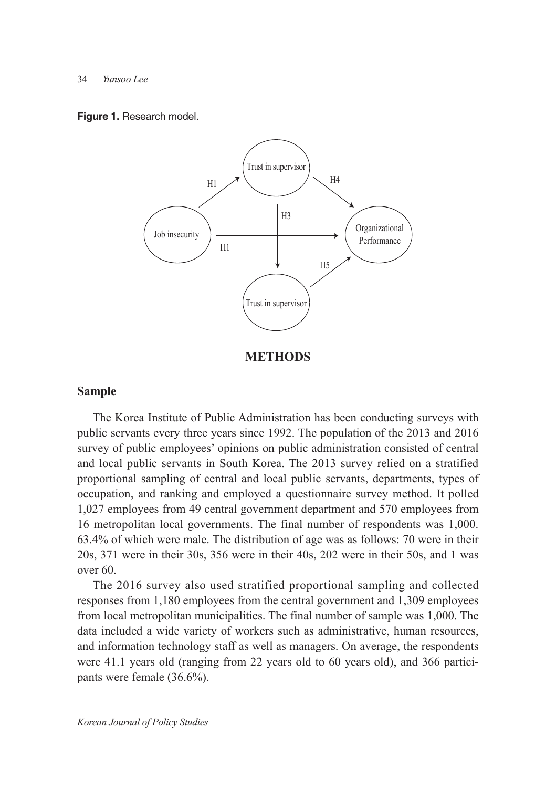#### 34 *Yunsoo Lee*

**Figure 1.** Research model.



**METHODS**

### **Sample**

The Korea Institute of Public Administration has been conducting surveys with public servants every three years since 1992. The population of the 2013 and 2016 survey of public employees' opinions on public administration consisted of central and local public servants in South Korea. The 2013 survey relied on a stratified proportional sampling of central and local public servants, departments, types of occupation, and ranking and employed a questionnaire survey method. It polled 1,027 employees from 49 central government department and 570 employees from 16 metropolitan local governments. The final number of respondents was 1,000. 63.4% of which were male. The distribution of age was as follows: 70 were in their 20s, 371 were in their 30s, 356 were in their 40s, 202 were in their 50s, and 1 was over 60.

The 2016 survey also used stratified proportional sampling and collected responses from 1,180 employees from the central government and 1,309 employees from local metropolitan municipalities. The final number of sample was 1,000. The data included a wide variety of workers such as administrative, human resources, and information technology staff as well as managers. On average, the respondents were 41.1 years old (ranging from 22 years old to 60 years old), and 366 participants were female (36.6%).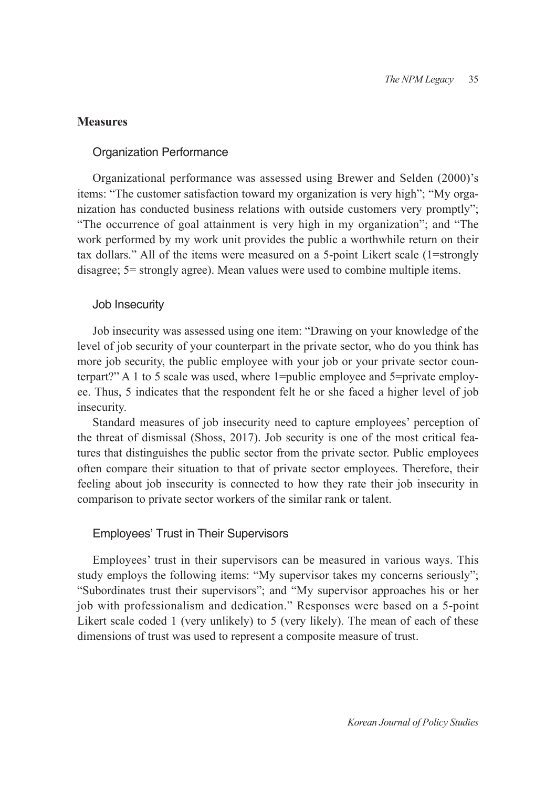# **Measures**

#### Organization Performance

Organizational performance was assessed using Brewer and Selden (2000)'s items: "The customer satisfaction toward my organization is very high"; "My organization has conducted business relations with outside customers very promptly"; "The occurrence of goal attainment is very high in my organization"; and "The work performed by my work unit provides the public a worthwhile return on their tax dollars." All of the items were measured on a 5-point Likert scale (1=strongly disagree; 5= strongly agree). Mean values were used to combine multiple items.

#### Job Insecurity

Job insecurity was assessed using one item: "Drawing on your knowledge of the level of job security of your counterpart in the private sector, who do you think has more job security, the public employee with your job or your private sector counterpart?" A 1 to 5 scale was used, where 1=public employee and 5=private employee. Thus, 5 indicates that the respondent felt he or she faced a higher level of job insecurity.

Standard measures of job insecurity need to capture employees' perception of the threat of dismissal (Shoss, 2017). Job security is one of the most critical features that distinguishes the public sector from the private sector. Public employees often compare their situation to that of private sector employees. Therefore, their feeling about job insecurity is connected to how they rate their job insecurity in comparison to private sector workers of the similar rank or talent.

#### Employees' Trust in Their Supervisors

Employees' trust in their supervisors can be measured in various ways. This study employs the following items: "My supervisor takes my concerns seriously"; "Subordinates trust their supervisors"; and "My supervisor approaches his or her job with professionalism and dedication." Responses were based on a 5-point Likert scale coded 1 (very unlikely) to 5 (very likely). The mean of each of these dimensions of trust was used to represent a composite measure of trust.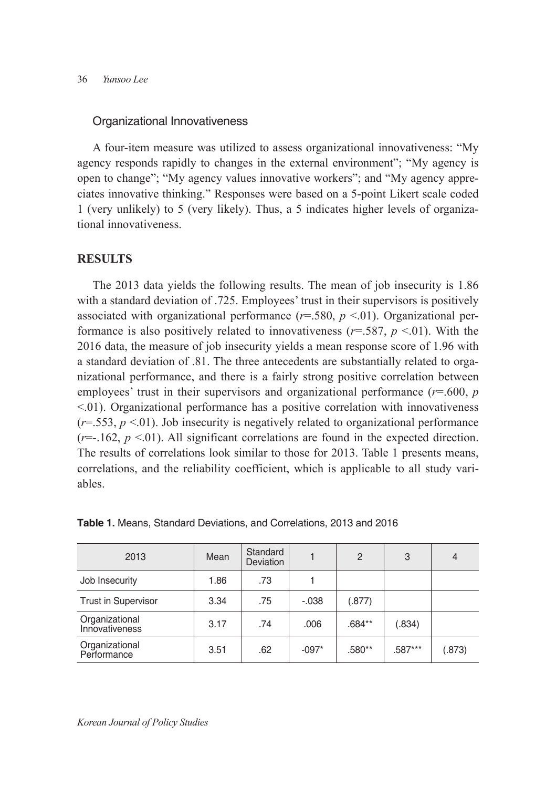#### Organizational Innovativeness

A four-item measure was utilized to assess organizational innovativeness: "My agency responds rapidly to changes in the external environment"; "My agency is open to change"; "My agency values innovative workers"; and "My agency appreciates innovative thinking." Responses were based on a 5-point Likert scale coded 1 (very unlikely) to 5 (very likely). Thus, a 5 indicates higher levels of organizational innovativeness.

# **RESULTS**

The 2013 data yields the following results. The mean of job insecurity is 1.86 with a standard deviation of .725. Employees' trust in their supervisors is positively associated with organizational performance  $(r=.580, p<.01)$ . Organizational performance is also positively related to innovativeness  $(r=.587, p<.01)$ . With the 2016 data, the measure of job insecurity yields a mean response score of 1.96 with a standard deviation of .81. The three antecedents are substantially related to organizational performance, and there is a fairly strong positive correlation between employees' trust in their supervisors and organizational performance (*r*=.600, *p* <.01). Organizational performance has a positive correlation with innovativeness  $(r=0.553, p<0.1)$ . Job insecurity is negatively related to organizational performance  $(r=-162, p<01)$ . All significant correlations are found in the expected direction. The results of correlations look similar to those for 2013. Table 1 presents means, correlations, and the reliability coefficient, which is applicable to all study variables.

| 2013                             | Mean | Standard<br><b>Deviation</b> |         | $\mathcal{P}$ | 3         | $\overline{4}$ |
|----------------------------------|------|------------------------------|---------|---------------|-----------|----------------|
| Job Insecurity                   | 1.86 | .73                          |         |               |           |                |
| <b>Trust in Supervisor</b>       | 3.34 | .75                          | $-.038$ | (.877)        |           |                |
| Organizational<br>Innovativeness | 3.17 | .74                          | .006    | $.684**$      | (.834)    |                |
| Organizational<br>Performance    | 3.51 | .62                          | $-097*$ | .580**        | $.587***$ | (.873)         |

**Table 1.** Means, Standard Deviations, and Correlations, 2013 and 2016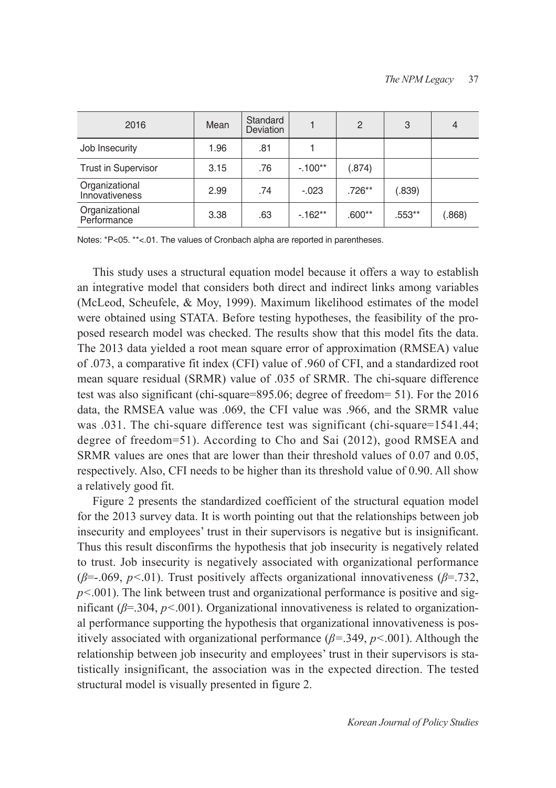| 2016                             | Mean | Standard<br><b>Deviation</b> |          | $\overline{2}$ | 3        | $\overline{4}$ |
|----------------------------------|------|------------------------------|----------|----------------|----------|----------------|
| Job Insecurity                   | 1.96 | .81                          |          |                |          |                |
| <b>Trust in Supervisor</b>       | 3.15 | .76                          | $-100**$ | (.874)         |          |                |
| Organizational<br>Innovativeness | 2.99 | .74                          | $-.023$  | $.726***$      | (.839)   |                |
| Organizational<br>Performance    | 3.38 | .63                          | $-162**$ | $.600**$       | $.553**$ | (.868)         |

Notes: \*P<05. \*\*<.01. The values of Cronbach alpha are reported in parentheses.

This study uses a structural equation model because it offers a way to establish an integrative model that considers both direct and indirect links among variables (McLeod, Scheufele, & Moy, 1999). Maximum likelihood estimates of the model were obtained using STATA. Before testing hypotheses, the feasibility of the proposed research model was checked. The results show that this model fits the data. The 2013 data yielded a root mean square error of approximation (RMSEA) value of .073, a comparative fit index (CFI) value of .960 of CFI, and a standardized root mean square residual (SRMR) value of .035 of SRMR. The chi-square difference test was also significant (chi-square=895.06; degree of freedom= 51). For the 2016 data, the RMSEA value was .069, the CFI value was .966, and the SRMR value was  $.031$ . The chi-square difference test was significant (chi-square=1541.44; degree of freedom=51). According to Cho and Sai (2012), good RMSEA and SRMR values are ones that are lower than their threshold values of 0.07 and 0.05, respectively. Also, CFI needs to be higher than its threshold value of 0.90. All show a relatively good fit.

Figure 2 presents the standardized coefficient of the structural equation model for the 2013 survey data. It is worth pointing out that the relationships between job insecurity and employees' trust in their supervisors is negative but is insignificant. Thus this result disconfirms the hypothesis that job insecurity is negatively related to trust. Job insecurity is negatively associated with organizational performance (*β*=-.069, *p<*.01). Trust positively affects organizational innovativeness (*β*=.732,  $p<.001$ ). The link between trust and organizational performance is positive and significant (*β*=.304, *p<*.001). Organizational innovativeness is related to organizational performance supporting the hypothesis that organizational innovativeness is positively associated with organizational performance (*β=*.349, *p<*.001). Although the relationship between job insecurity and employees' trust in their supervisors is statistically insignificant, the association was in the expected direction. The tested structural model is visually presented in figure 2.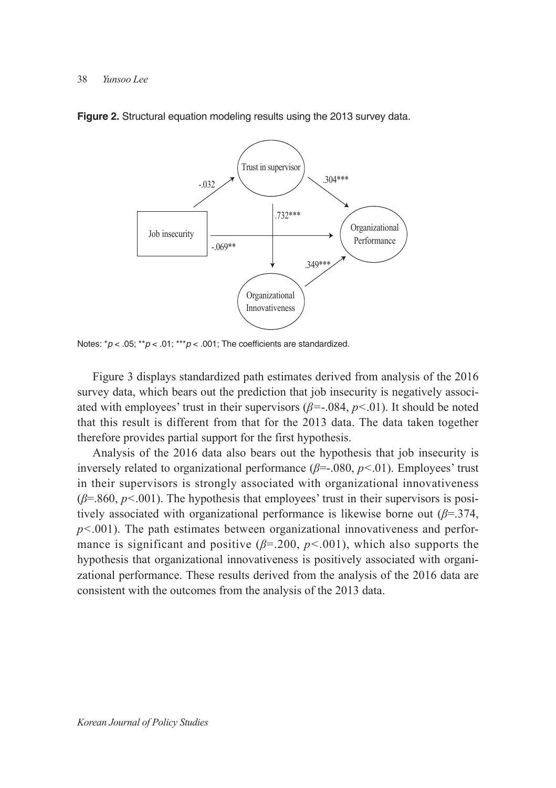

**Figure 2.** Structural equation modeling results using the 2013 survey data.

Notes:  $^{\ast}p$  < .05;  $^{\ast\ast}p$  < .01;  $^{\ast\ast}p$  < .001; The coefficients are standardized.

Figure 3 displays standardized path estimates derived from analysis of the 2016 survey data, which bears out the prediction that job insecurity is negatively associated with employees' trust in their supervisors (*β=*-.084, *p<*.01). It should be noted that this result is different from that for the 2013 data. The data taken together therefore provides partial support for the first hypothesis.

Analysis of the 2016 data also bears out the hypothesis that job insecurity is inversely related to organizational performance (*β*=-.080, *p<*.01). Employees' trust in their supervisors is strongly associated with organizational innovativeness (*β*=.860, *p<*.001). The hypothesis that employees' trust in their supervisors is positively associated with organizational performance is likewise borne out (*β*=.374, *p<*.001). The path estimates between organizational innovativeness and performance is significant and positive (*β*=.200, *p<*.001), which also supports the hypothesis that organizational innovativeness is positively associated with organizational performance. These results derived from the analysis of the 2016 data are consistent with the outcomes from the analysis of the 2013 data.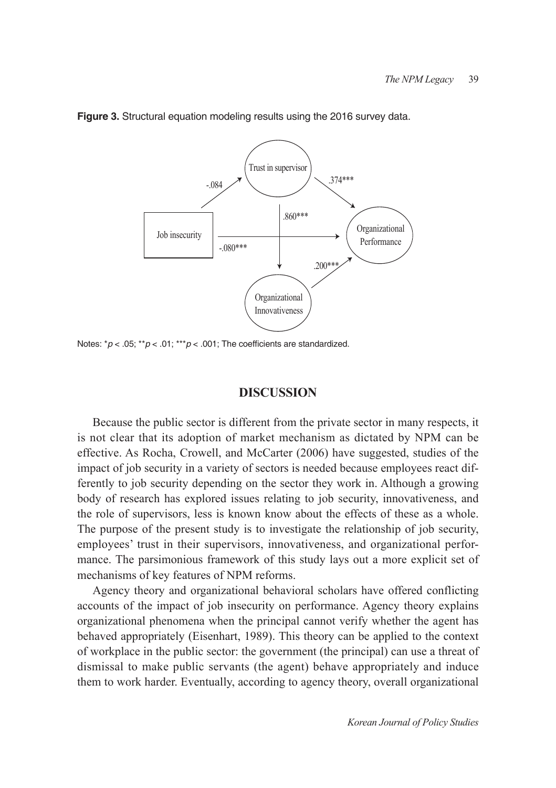

**Figure 3.** Structural equation modeling results using the 2016 survey data.

Notes: \**p* < .05; \*\**p* < .01; \*\*\**p* < .001; The coefficients are standardized.

### **DISCUSSION**

Because the public sector is different from the private sector in many respects, it is not clear that its adoption of market mechanism as dictated by NPM can be effective. As Rocha, Crowell, and McCarter (2006) have suggested, studies of the impact of job security in a variety of sectors is needed because employees react differently to job security depending on the sector they work in. Although a growing body of research has explored issues relating to job security, innovativeness, and the role of supervisors, less is known know about the effects of these as a whole. The purpose of the present study is to investigate the relationship of job security, employees' trust in their supervisors, innovativeness, and organizational performance. The parsimonious framework of this study lays out a more explicit set of mechanisms of key features of NPM reforms.

Agency theory and organizational behavioral scholars have offered conflicting accounts of the impact of job insecurity on performance. Agency theory explains organizational phenomena when the principal cannot verify whether the agent has behaved appropriately (Eisenhart, 1989). This theory can be applied to the context of workplace in the public sector: the government (the principal) can use a threat of dismissal to make public servants (the agent) behave appropriately and induce them to work harder. Eventually, according to agency theory, overall organizational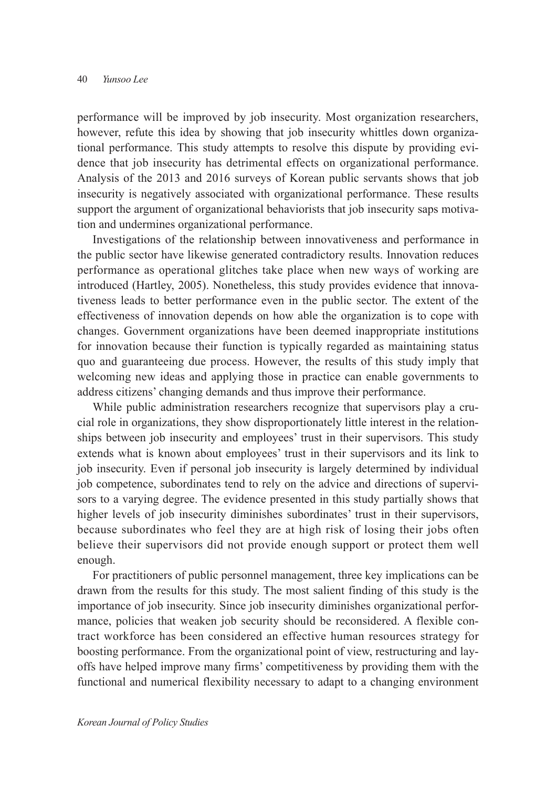performance will be improved by job insecurity. Most organization researchers, however, refute this idea by showing that job insecurity whittles down organizational performance. This study attempts to resolve this dispute by providing evidence that job insecurity has detrimental effects on organizational performance. Analysis of the 2013 and 2016 surveys of Korean public servants shows that job insecurity is negatively associated with organizational performance. These results support the argument of organizational behaviorists that job insecurity saps motivation and undermines organizational performance.

Investigations of the relationship between innovativeness and performance in the public sector have likewise generated contradictory results. Innovation reduces performance as operational glitches take place when new ways of working are introduced (Hartley, 2005). Nonetheless, this study provides evidence that innovativeness leads to better performance even in the public sector. The extent of the effectiveness of innovation depends on how able the organization is to cope with changes. Government organizations have been deemed inappropriate institutions for innovation because their function is typically regarded as maintaining status quo and guaranteeing due process. However, the results of this study imply that welcoming new ideas and applying those in practice can enable governments to address citizens' changing demands and thus improve their performance.

While public administration researchers recognize that supervisors play a crucial role in organizations, they show disproportionately little interest in the relationships between job insecurity and employees' trust in their supervisors. This study extends what is known about employees' trust in their supervisors and its link to job insecurity. Even if personal job insecurity is largely determined by individual job competence, subordinates tend to rely on the advice and directions of supervisors to a varying degree. The evidence presented in this study partially shows that higher levels of job insecurity diminishes subordinates' trust in their supervisors, because subordinates who feel they are at high risk of losing their jobs often believe their supervisors did not provide enough support or protect them well enough.

For practitioners of public personnel management, three key implications can be drawn from the results for this study. The most salient finding of this study is the importance of job insecurity. Since job insecurity diminishes organizational performance, policies that weaken job security should be reconsidered. A flexible contract workforce has been considered an effective human resources strategy for boosting performance. From the organizational point of view, restructuring and layoffs have helped improve many firms' competitiveness by providing them with the functional and numerical flexibility necessary to adapt to a changing environment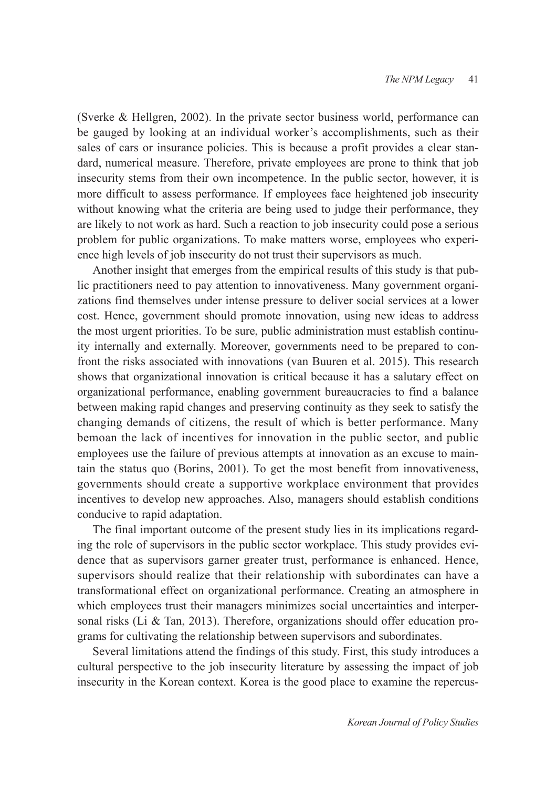(Sverke & Hellgren, 2002). In the private sector business world, performance can be gauged by looking at an individual worker's accomplishments, such as their sales of cars or insurance policies. This is because a profit provides a clear standard, numerical measure. Therefore, private employees are prone to think that job insecurity stems from their own incompetence. In the public sector, however, it is more difficult to assess performance. If employees face heightened job insecurity without knowing what the criteria are being used to judge their performance, they are likely to not work as hard. Such a reaction to job insecurity could pose a serious problem for public organizations. To make matters worse, employees who experience high levels of job insecurity do not trust their supervisors as much.

Another insight that emerges from the empirical results of this study is that public practitioners need to pay attention to innovativeness. Many government organizations find themselves under intense pressure to deliver social services at a lower cost. Hence, government should promote innovation, using new ideas to address the most urgent priorities. To be sure, public administration must establish continuity internally and externally. Moreover, governments need to be prepared to confront the risks associated with innovations (van Buuren et al. 2015). This research shows that organizational innovation is critical because it has a salutary effect on organizational performance, enabling government bureaucracies to find a balance between making rapid changes and preserving continuity as they seek to satisfy the changing demands of citizens, the result of which is better performance. Many bemoan the lack of incentives for innovation in the public sector, and public employees use the failure of previous attempts at innovation as an excuse to maintain the status quo (Borins, 2001). To get the most benefit from innovativeness, governments should create a supportive workplace environment that provides incentives to develop new approaches. Also, managers should establish conditions conducive to rapid adaptation.

The final important outcome of the present study lies in its implications regarding the role of supervisors in the public sector workplace. This study provides evidence that as supervisors garner greater trust, performance is enhanced. Hence, supervisors should realize that their relationship with subordinates can have a transformational effect on organizational performance. Creating an atmosphere in which employees trust their managers minimizes social uncertainties and interpersonal risks (Li & Tan, 2013). Therefore, organizations should offer education programs for cultivating the relationship between supervisors and subordinates.

Several limitations attend the findings of this study. First, this study introduces a cultural perspective to the job insecurity literature by assessing the impact of job insecurity in the Korean context. Korea is the good place to examine the repercus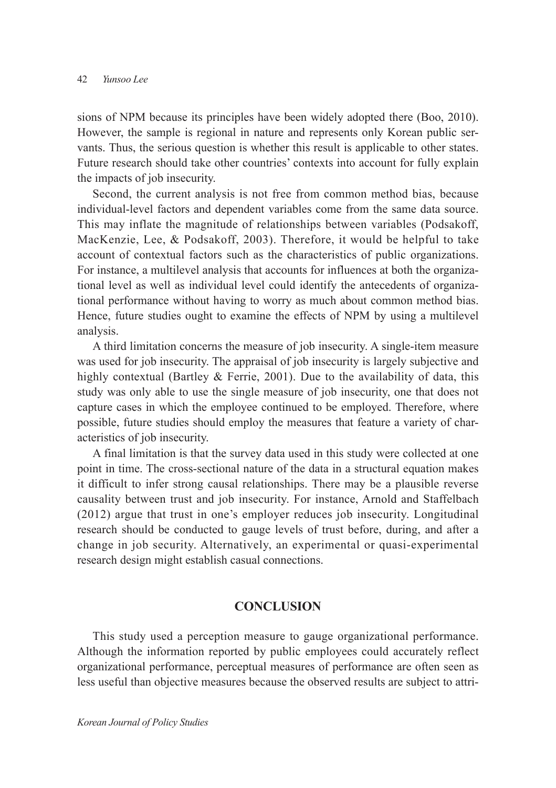sions of NPM because its principles have been widely adopted there (Boo, 2010). However, the sample is regional in nature and represents only Korean public servants. Thus, the serious question is whether this result is applicable to other states. Future research should take other countries' contexts into account for fully explain the impacts of job insecurity.

Second, the current analysis is not free from common method bias, because individual-level factors and dependent variables come from the same data source. This may inflate the magnitude of relationships between variables (Podsakoff, MacKenzie, Lee, & Podsakoff, 2003). Therefore, it would be helpful to take account of contextual factors such as the characteristics of public organizations. For instance, a multilevel analysis that accounts for influences at both the organizational level as well as individual level could identify the antecedents of organizational performance without having to worry as much about common method bias. Hence, future studies ought to examine the effects of NPM by using a multilevel analysis.

A third limitation concerns the measure of job insecurity. A single-item measure was used for job insecurity. The appraisal of job insecurity is largely subjective and highly contextual (Bartley & Ferrie, 2001). Due to the availability of data, this study was only able to use the single measure of job insecurity, one that does not capture cases in which the employee continued to be employed. Therefore, where possible, future studies should employ the measures that feature a variety of characteristics of job insecurity.

A final limitation is that the survey data used in this study were collected at one point in time. The cross-sectional nature of the data in a structural equation makes it difficult to infer strong causal relationships. There may be a plausible reverse causality between trust and job insecurity. For instance, Arnold and Staffelbach (2012) argue that trust in one's employer reduces job insecurity. Longitudinal research should be conducted to gauge levels of trust before, during, and after a change in job security. Alternatively, an experimental or quasi-experimental research design might establish casual connections.

# **CONCLUSION**

This study used a perception measure to gauge organizational performance. Although the information reported by public employees could accurately reflect organizational performance, perceptual measures of performance are often seen as less useful than objective measures because the observed results are subject to attri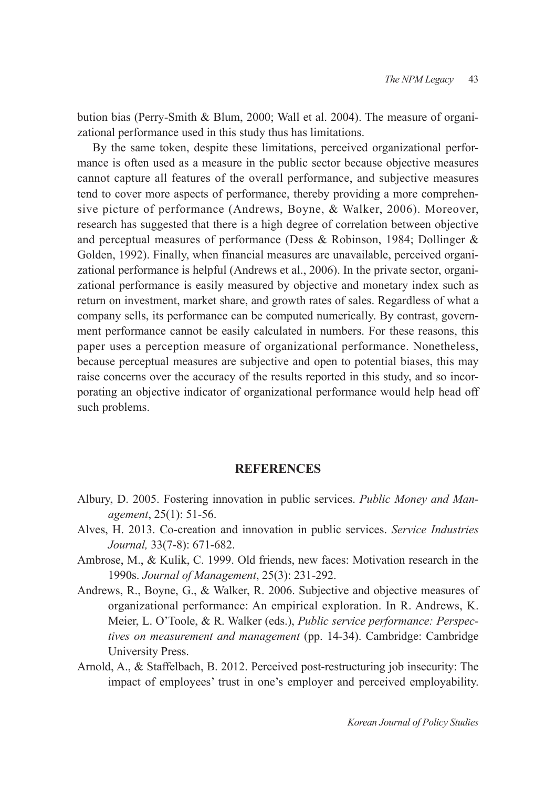bution bias (Perry-Smith & Blum, 2000; Wall et al. 2004). The measure of organizational performance used in this study thus has limitations.

By the same token, despite these limitations, perceived organizational performance is often used as a measure in the public sector because objective measures cannot capture all features of the overall performance, and subjective measures tend to cover more aspects of performance, thereby providing a more comprehensive picture of performance (Andrews, Boyne, & Walker, 2006). Moreover, research has suggested that there is a high degree of correlation between objective and perceptual measures of performance (Dess & Robinson, 1984; Dollinger & Golden, 1992). Finally, when financial measures are unavailable, perceived organizational performance is helpful (Andrews et al., 2006). In the private sector, organizational performance is easily measured by objective and monetary index such as return on investment, market share, and growth rates of sales. Regardless of what a company sells, its performance can be computed numerically. By contrast, government performance cannot be easily calculated in numbers. For these reasons, this paper uses a perception measure of organizational performance. Nonetheless, because perceptual measures are subjective and open to potential biases, this may raise concerns over the accuracy of the results reported in this study, and so incorporating an objective indicator of organizational performance would help head off such problems.

# **REFERENCES**

- Albury, D. 2005. Fostering innovation in public services. *Public Money and Management*, 25(1): 51-56.
- Alves, H. 2013. Co-creation and innovation in public services. *Service Industries Journal,* 33(7-8): 671-682.
- Ambrose, M., & Kulik, C. 1999. Old friends, new faces: Motivation research in the 1990s. *Journal of Management*, 25(3): 231-292.
- Andrews, R., Boyne, G., & Walker, R. 2006. Subjective and objective measures of organizational performance: An empirical exploration. In R. Andrews, K. Meier, L. O'Toole, & R. Walker (eds.), *Public service performance: Perspectives on measurement and management* (pp. 14-34). Cambridge: Cambridge University Press.
- Arnold, A., & Staffelbach, B. 2012. Perceived post-restructuring job insecurity: The impact of employees' trust in one's employer and perceived employability.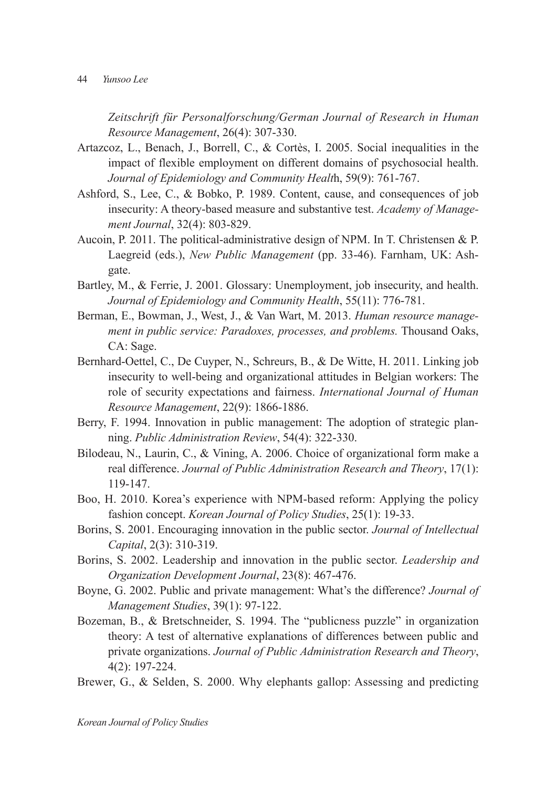*Zeitschrift für Personalforschung/German Journal of Research in Human Resource Management*, 26(4): 307-330.

- Artazcoz, L., Benach, J., Borrell, C., & Cortès, I. 2005. Social inequalities in the impact of flexible employment on different domains of psychosocial health. *Journal of Epidemiology and Community Healt*h, 59(9): 761-767.
- Ashford, S., Lee, C., & Bobko, P. 1989. Content, cause, and consequences of job insecurity: A theory-based measure and substantive test. *Academy of Management Journal*, 32(4): 803-829.
- Aucoin, P. 2011. The political-administrative design of NPM. In T. Christensen & P. Laegreid (eds.), *New Public Management* (pp. 33-46). Farnham, UK: Ashgate.
- Bartley, M., & Ferrie, J. 2001. Glossary: Unemployment, job insecurity, and health. *Journal of Epidemiology and Community Health*, 55(11): 776-781.
- Berman, E., Bowman, J., West, J., & Van Wart, M. 2013. *Human resource management in public service: Paradoxes, processes, and problems.* Thousand Oaks, CA: Sage.
- Bernhard-Oettel, C., De Cuyper, N., Schreurs, B., & De Witte, H. 2011. Linking job insecurity to well-being and organizational attitudes in Belgian workers: The role of security expectations and fairness. *International Journal of Human Resource Management*, 22(9): 1866-1886.
- Berry, F. 1994. Innovation in public management: The adoption of strategic planning. *Public Administration Review*, 54(4): 322-330.
- Bilodeau, N., Laurin, C., & Vining, A. 2006. Choice of organizational form make a real difference. *Journal of Public Administration Research and Theory*, 17(1): 119-147.
- Boo, H. 2010. Korea's experience with NPM-based reform: Applying the policy fashion concept. *Korean Journal of Policy Studies*, 25(1): 19-33.
- Borins, S. 2001. Encouraging innovation in the public sector. *Journal of Intellectual Capital*, 2(3): 310-319.
- Borins, S. 2002. Leadership and innovation in the public sector. *Leadership and Organization Development Journal*, 23(8): 467-476.
- Boyne, G. 2002. Public and private management: What's the difference? *Journal of Management Studies*, 39(1): 97-122.
- Bozeman, B., & Bretschneider, S. 1994. The "publicness puzzle" in organization theory: A test of alternative explanations of differences between public and private organizations. *Journal of Public Administration Research and Theory*, 4(2): 197-224.
- Brewer, G., & Selden, S. 2000. Why elephants gallop: Assessing and predicting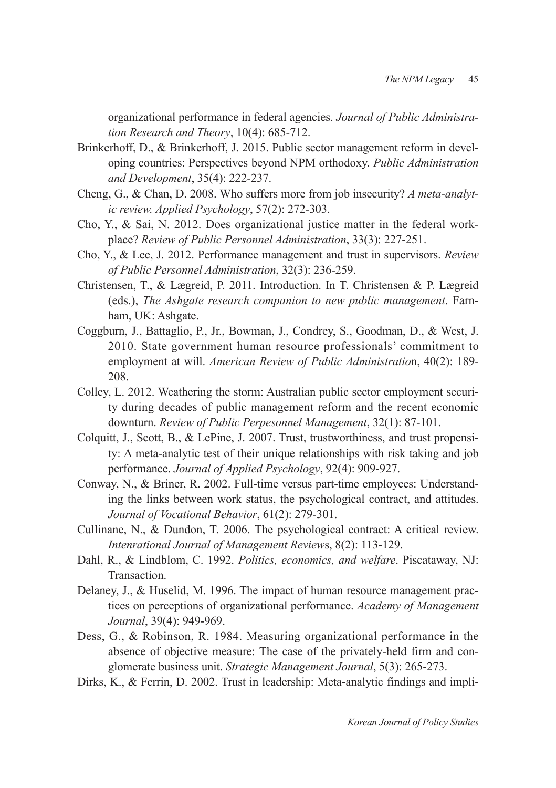organizational performance in federal agencies. *Journal of Public Administration Research and Theory*, 10(4): 685-712.

- Brinkerhoff, D., & Brinkerhoff, J. 2015. Public sector management reform in developing countries: Perspectives beyond NPM orthodoxy. *Public Administration and Development*, 35(4): 222-237.
- Cheng, G., & Chan, D. 2008. Who suffers more from job insecurity? *A meta‐analytic review. Applied Psychology*, 57(2): 272-303.
- Cho, Y., & Sai, N. 2012. Does organizational justice matter in the federal workplace? *Review of Public Personnel Administration*, 33(3): 227-251.
- Cho, Y., & Lee, J. 2012. Performance management and trust in supervisors. *Review of Public Personnel Administration*, 32(3): 236-259.
- Christensen, T., & Lægreid, P. 2011. Introduction. In T. Christensen & P. Lægreid (eds.), *The Ashgate research companion to new public management*. Farnham, UK: Ashgate.
- Coggburn, J., Battaglio, P., Jr., Bowman, J., Condrey, S., Goodman, D., & West, J. 2010. State government human resource professionals' commitment to employment at will. *American Review of Public Administratio*n, 40(2): 189- 208.
- Colley, L. 2012. Weathering the storm: Australian public sector employment security during decades of public management reform and the recent economic downturn. *Review of Public Perpesonnel Management*, 32(1): 87-101.
- Colquitt, J., Scott, B., & LePine, J. 2007. Trust, trustworthiness, and trust propensity: A meta-analytic test of their unique relationships with risk taking and job performance. *Journal of Applied Psychology*, 92(4): 909-927.
- Conway, N., & Briner, R. 2002. Full-time versus part-time employees: Understanding the links between work status, the psychological contract, and attitudes. *Journal of Vocational Behavior*, 61(2): 279-301.
- Cullinane, N., & Dundon, T. 2006. The psychological contract: A critical review. *Intenrational Journal of Management Review*s, 8(2): 113-129.
- Dahl, R., & Lindblom, C. 1992. *Politics, economics, and welfare*. Piscataway, NJ: Transaction.
- Delaney, J., & Huselid, M. 1996. The impact of human resource management practices on perceptions of organizational performance. *Academy of Management Journal*, 39(4): 949-969.
- Dess, G., & Robinson, R. 1984. Measuring organizational performance in the absence of objective measure: The case of the privately-held firm and conglomerate business unit. *Strategic Management Journal*, 5(3): 265-273.
- Dirks, K., & Ferrin, D. 2002. Trust in leadership: Meta-analytic findings and impli-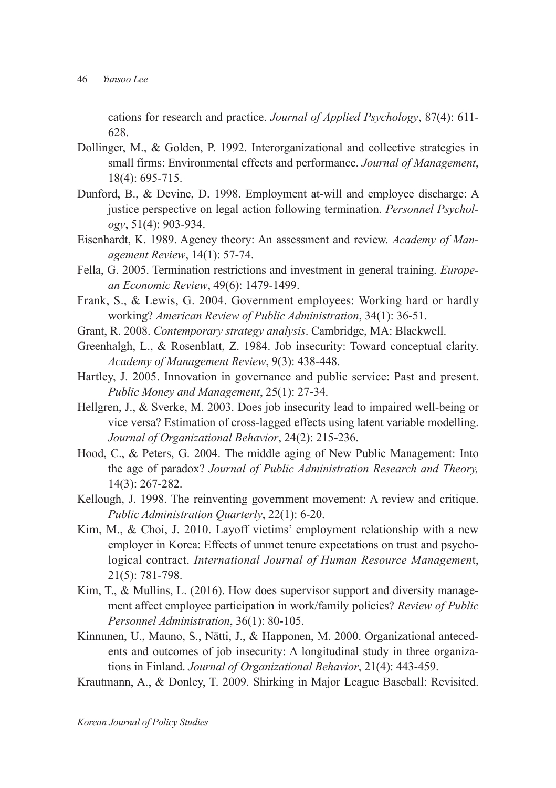cations for research and practice. *Journal of Applied Psychology*, 87(4): 611- 628.

- Dollinger, M., & Golden, P. 1992. Interorganizational and collective strategies in small firms: Environmental effects and performance. *Journal of Management*, 18(4): 695-715.
- Dunford, B., & Devine, D. 1998. Employment at-will and employee discharge: A justice perspective on legal action following termination. *Personnel Psychology*, 51(4): 903-934.
- Eisenhardt, K. 1989. Agency theory: An assessment and review. *Academy of Management Review*, 14(1): 57-74.
- Fella, G. 2005. Termination restrictions and investment in general training. *European Economic Review*, 49(6): 1479-1499.
- Frank, S., & Lewis, G. 2004. Government employees: Working hard or hardly working? *American Review of Public Administration*, 34(1): 36-51.
- Grant, R. 2008. *Contemporary strategy analysis*. Cambridge, MA: Blackwell.
- Greenhalgh, L., & Rosenblatt, Z. 1984. Job insecurity: Toward conceptual clarity. *Academy of Management Review*, 9(3): 438-448.
- Hartley, J. 2005. Innovation in governance and public service: Past and present. *Public Money and Management*, 25(1): 27-34.
- Hellgren, J., & Sverke, M. 2003. Does job insecurity lead to impaired well-being or vice versa? Estimation of cross‐lagged effects using latent variable modelling. *Journal of Organizational Behavior*, 24(2): 215-236.
- Hood, C., & Peters, G. 2004. The middle aging of New Public Management: Into the age of paradox? *Journal of Public Administration Research and Theory,*  14(3): 267-282.
- Kellough, J. 1998. The reinventing government movement: A review and critique. *Public Administration Quarterly*, 22(1): 6-20.
- Kim, M., & Choi, J. 2010. Layoff victims' employment relationship with a new employer in Korea: Effects of unmet tenure expectations on trust and psychological contract. *International Journal of Human Resource Managemen*t, 21(5): 781-798.
- Kim, T., & Mullins, L. (2016). How does supervisor support and diversity management affect employee participation in work/family policies? *Review of Public Personnel Administration*, 36(1): 80-105.
- Kinnunen, U., Mauno, S., Nätti, J., & Happonen, M. 2000. Organizational antecedents and outcomes of job insecurity: A longitudinal study in three organizations in Finland. *Journal of Organizational Behavior*, 21(4): 443-459.
- Krautmann, A., & Donley, T. 2009. Shirking in Major League Baseball: Revisited.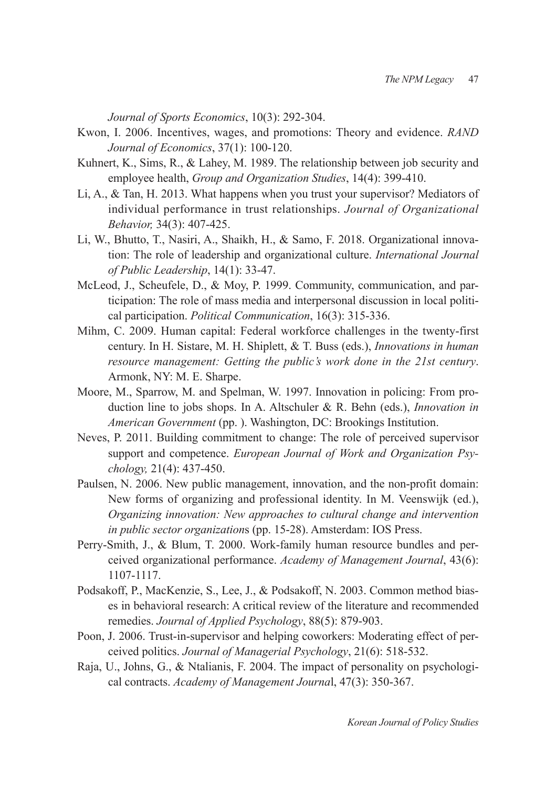*Journal of Sports Economics*, 10(3): 292-304.

- Kwon, I. 2006. Incentives, wages, and promotions: Theory and evidence. *RAND Journal of Economics*, 37(1): 100-120.
- Kuhnert, K., Sims, R., & Lahey, M. 1989. The relationship between job security and employee health, *Group and Organization Studies*, 14(4): 399-410.
- Li, A., & Tan, H. 2013. What happens when you trust your supervisor? Mediators of individual performance in trust relationships. *Journal of Organizational Behavior,* 34(3): 407-425.
- Li, W., Bhutto, T., Nasiri, A., Shaikh, H., & Samo, F. 2018. Organizational innovation: The role of leadership and organizational culture. *International Journal of Public Leadership*, 14(1): 33-47.
- McLeod, J., Scheufele, D., & Moy, P. 1999. Community, communication, and participation: The role of mass media and interpersonal discussion in local political participation. *Political Communication*, 16(3): 315-336.
- Mihm, C. 2009. Human capital: Federal workforce challenges in the twenty-first century. In H. Sistare, M. H. Shiplett, & T. Buss (eds.), *Innovations in human resource management: Getting the public's work done in the 21st century*. Armonk, NY: M. E. Sharpe.
- Moore, M., Sparrow, M. and Spelman, W. 1997. Innovation in policing: From production line to jobs shops. In A. Altschuler & R. Behn (eds.), *Innovation in American Government* (pp. ). Washington, DC: Brookings Institution.
- Neves, P. 2011. Building commitment to change: The role of perceived supervisor support and competence. *European Journal of Work and Organization Psychology,* 21(4): 437-450.
- Paulsen, N. 2006. New public management, innovation, and the non-profit domain: New forms of organizing and professional identity. In M. Veenswijk (ed.), *Organizing innovation: New approaches to cultural change and intervention in public sector organization*s (pp. 15-28). Amsterdam: IOS Press.
- Perry-Smith, J., & Blum, T. 2000. Work-family human resource bundles and perceived organizational performance. *Academy of Management Journal*, 43(6): 1107-1117.
- Podsakoff, P., MacKenzie, S., Lee, J., & Podsakoff, N. 2003. Common method biases in behavioral research: A critical review of the literature and recommended remedies. *Journal of Applied Psychology*, 88(5): 879-903.
- Poon, J. 2006. Trust-in-supervisor and helping coworkers: Moderating effect of perceived politics. *Journal of Managerial Psychology*, 21(6): 518-532.
- Raja, U., Johns, G., & Ntalianis, F. 2004. The impact of personality on psychological contracts. *Academy of Management Journa*l, 47(3): 350-367.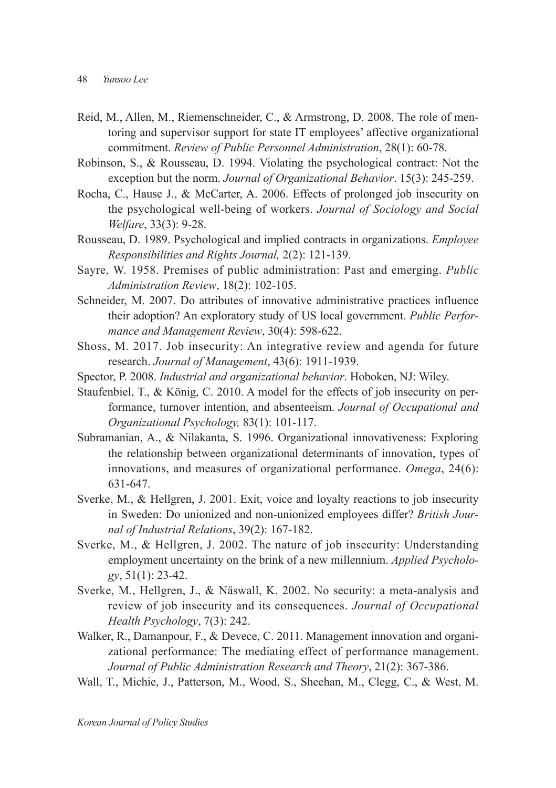- Reid, M., Allen, M., Riemenschneider, C., & Armstrong, D. 2008. The role of mentoring and supervisor support for state IT employees' affective organizational commitment. *Review of Public Personnel Administration*, 28(1): 60-78.
- Robinson, S., & Rousseau, D. 1994. Violating the psychological contract: Not the exception but the norm. *Journal of Organizational Behavior*. 15(3): 245-259.
- Rocha, C., Hause J., & McCarter, A. 2006. Effects of prolonged job insecurity on the psychological well-being of workers. *Journal of Sociology and Social Welfare*, 33(3): 9-28.
- Rousseau, D. 1989. Psychological and implied contracts in organizations. *Employee Responsibilities and Rights Journal,* 2(2): 121-139.
- Sayre, W. 1958. Premises of public administration: Past and emerging. *Public Administration Review*, 18(2): 102-105.
- Schneider, M. 2007. Do attributes of innovative administrative practices influence their adoption? An exploratory study of US local government. *Public Performance and Management Review*, 30(4): 598-622.
- Shoss, M. 2017. Job insecurity: An integrative review and agenda for future research. *Journal of Management*, 43(6): 1911-1939.
- Spector, P. 2008. *Industrial and organizational behavior*. Hoboken, NJ: Wiley.
- Staufenbiel, T., & König, C. 2010. A model for the effects of job insecurity on performance, turnover intention, and absenteeism. *Journal of Occupational and Organizational Psychology,* 83(1): 101-117.
- Subramanian, A., & Nilakanta, S. 1996. Organizational innovativeness: Exploring the relationship between organizational determinants of innovation, types of innovations, and measures of organizational performance. *Omega*, 24(6): 631-647.
- Sverke, M., & Hellgren, J. 2001. Exit, voice and loyalty reactions to job insecurity in Sweden: Do unionized and non‐unionized employees differ? *British Journal of Industrial Relations*, 39(2): 167-182.
- Sverke, M., & Hellgren, J. 2002. The nature of job insecurity: Understanding employment uncertainty on the brink of a new millennium. *Applied Psychology*, 51(1): 23-42.
- Sverke, M., Hellgren, J., & Näswall, K. 2002. No security: a meta-analysis and review of job insecurity and its consequences. *Journal of Occupational Health Psychology*, 7(3): 242.
- Walker, R., Damanpour, F., & Devece, C. 2011. Management innovation and organizational performance: The mediating effect of performance management. *Journal of Public Administration Research and Theory*, 21(2): 367-386.
- Wall, T., Michie, J., Patterson, M., Wood, S., Sheehan, M., Clegg, C., & West, M.